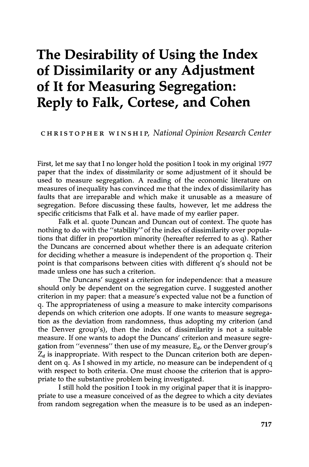## **The Desirability of Using the Index of Dissimilarity or any Adjustment of It for Measuring Segregation: Reply to Falk, Cortese, and Cohen**

## **CHRISTOPHER WINSHIP, National Opinion Research Center**

**First, let me say that I no longer hold the position I took in my original 1977 paper that the index of dissimilarity or some adjustment of it should be used to measure segregation. A reading of the economic literature on measures of inequality has convinced me that the index of dissimilarity has faults that are irreparable and which make it unusable as a measure of segregation. Before discussing these faults, however, let me address the specific criticisms that Falk et al. have made of my earlier paper.** 

**Falk et al. quote Duncan and Duncan out of context. The quote has nothing to do with the "stability"' of the index of dissimilarity over populations that differ in proportion minority (hereafter referred to as q). Rather the Duncans are concerned about whether there is an adequate criterion for deciding whether a measure is independent of the proportion q. Their point is that comparisons between cities with different q's should not be made unless one has such a criterion.** 

**The Duncans' suggest a criterion for independence: that a measure should only be dependent on the segregation curve. I suggested another criterion in my paper: that a measure's expected value not be a function of q. The appropriateness of using a measure to make intercity comparisons depends on which criterion one adopts. If one wants to measure segregation as the deviation from randomness, thus adopting my criterion (and the Denver group's), then the index of dissimilarity is not a suitable measure. If one wants to adopt the Duncans' criterion and measure segre**gation from "evenness" then use of my measure,  $E_d$ , or the Denver group's  $Z_d$  is inappropriate. With respect to the Duncan criterion both are depen**dent on q. As I showed in my article, no measure can be independent of q with respect to both criteria. One must choose the criterion that is appropriate to the substantive problem being investigated.** 

**I still hold the position I took in my original paper that it is inappropriate to use a measure conceived of as the degree to which a city deviates from random segregation when the measure is to be used as an indepen-**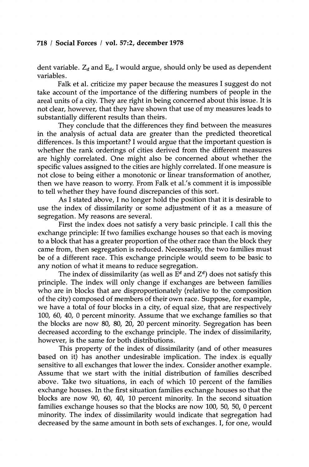dent variable.  $Z_d$  and  $E_d$ , I would argue, should only be used as dependent **variables.** 

**Falk et al. criticize my paper because the measures I suggest do not take account of the importance of the differing numbers of people in the areal units of a city. They are right in being concerned about this issue. It is not clear, however, that they have shown that use of my measures leads to substantially different results than theirs.** 

**They conclude that the differences they find between the measures in the analysis of actual data are greater than the predicted theoretical differences. Is this important? I would argue that the important question is whether the rank orderings of cities derived from the different measures are highly correlated. One might also be concerned about whether the specific values assigned to the cities are highly correlated. If one measure is not close to being either a monotonic or linear transformation of another, then we have reason to worry. From Falk et al.'s comment it is impossible to tell whether they have found discrepancies of this sort.** 

**As I stated above, I no longer hold the position that it is desirable to use the index of dissimilarity or some adjustment of it as a measure of segregation. My reasons are several.** 

**First the index does not satisfy a very basic principle. I call this the exchange principle: If two families exchange houses so that each is moving to a block that has a greater proportion of the other race than the block they came from, then segregation is reduced. Necessarily, the two families must be of a different race. This exchange principle would seem to be basic to any notion of what it means to reduce segregation.** 

The index of dissimilarity (as well as  $E^d$  and  $Z^d$ ) does not satisfy this **principle. The index will only change if exchanges are between families who are in blocks that are disproportionately (relative to the composition of the city) composed of members of their own race. Suppose, for example, we have a total of four blocks in a city, of equal size, that are respectively 100, 60, 40, 0 percent minority. Assume that we exchange families so that the blocks are now 80, 80, 20, 20 percent minority. Segregation has been decreased according to the exchange principle. The index of dissimilarity, however, is the same for both distributions.** 

**This property of the index of dissimilarity (and of other measures based on it) has another undesirable implication. The index is equally sensitive to all exchanges that lower the index. Consider another example. Assume that we start with the initial distribution of families described above. Take two situations, in each of which 10 percent of the families exchange houses. In the first situation families exchange houses so that the blocks are now 90, 60, 40, 10 percent minority. In the second situation families exchange houses so that the blocks are now 100, 50, 50, 0 percent minority. The index of dissimilarity would indicate that segregation had decreased by the same amount in both sets of exchanges. I, for one, would**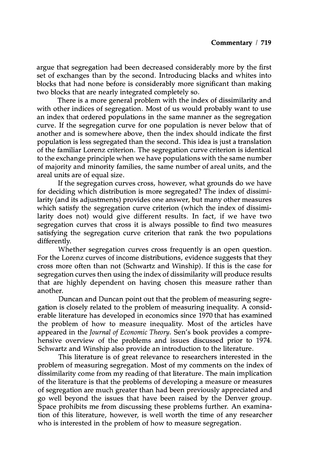**argue that segregation had been decreased considerably more by the first set of exchanges than by the second. Introducing blacks and whites into blocks that had none before is considerably more significant than making two blocks that are nearly integrated completely so.** 

**There is a more general problem with the index of dissimilarity and with other indices of segregation. Most of us would probably want to use an index that ordered populations in the same manner as the segregation curve. If the segregation curve for one population is never below that of another and is somewhere above, then the index should indicate the first population is less segregated than the second. This idea is just a translation of the familiar Lorenz criterion. The segregation curve criterion is identical to the exchange principle when we have populations with the same number of majority and minority families, the same number of areal units, and the areal units are of equal size.** 

**If the segregation curves cross, however, what grounds do we have for deciding which distribution is more segregated? The index of dissimilarity (and its adjustments) provides one answer, but many other measures which satisfy the segregation curve criterion (which the index of dissimilarity does not) would give different results. In fact, if we have two segregation curves that cross it is always possible to find two measures satisfying the segregation curve criterion that rank the two populations differently.** 

**Whether segregation curves cross frequently is an open question. For the Lorenz curves of income distributions, evidence suggests that they cross more often than not (Schwartz and Winship). If this is the case for segregation curves then using the index of dissimilarity will produce results that are highly dependent on having chosen this measure rather than another.** 

**Duncan and Duncan point out that the problem of measuring segregation is closely related to the problem of measuring inequality. A considerable literature has developed in economics since 1970 that has examined the problem of how to measure inequality. Most of the articles have appeared in the Journal of Economic Theory. Sen's book provides a comprehensive overview of the problems and issues discussed prior to 1974. Schwartz and Winship also provide an introduction to the literature.** 

**This literature is of great relevance to researchers interested in the problem of measuring segregation. Most of my comments on the index of dissimilarity come from my reading of that literature. The main implication of the literature is that the problems of developing a measure or measures of segregation are much greater than had been previously appreciated and go well beyond the issues that have been raised by the Denver group. Space prohibits me from discussing these problems further. An examination of this literature, however, is well worth the time of any researcher who is interested in the problem of how to measure segregation.**